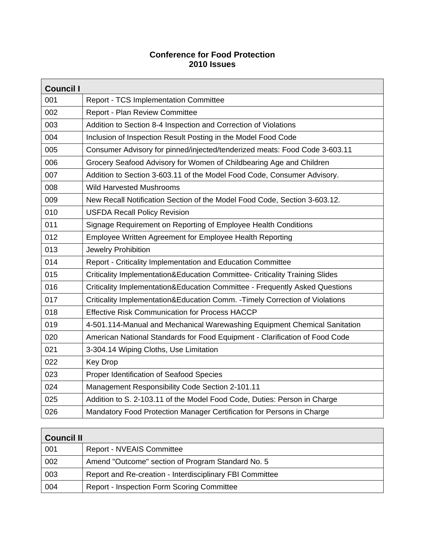## **Conference for Food Protection 2010 Issues**

| <b>Council I</b> |                                                                              |  |
|------------------|------------------------------------------------------------------------------|--|
| 001              | Report - TCS Implementation Committee                                        |  |
| 002              | Report - Plan Review Committee                                               |  |
| 003              | Addition to Section 8-4 Inspection and Correction of Violations              |  |
| 004              | Inclusion of Inspection Result Posting in the Model Food Code                |  |
| 005              | Consumer Advisory for pinned/injected/tenderized meats: Food Code 3-603.11   |  |
| 006              | Grocery Seafood Advisory for Women of Childbearing Age and Children          |  |
| 007              | Addition to Section 3-603.11 of the Model Food Code, Consumer Advisory.      |  |
| 008              | <b>Wild Harvested Mushrooms</b>                                              |  |
| 009              | New Recall Notification Section of the Model Food Code, Section 3-603.12.    |  |
| 010              | <b>USFDA Recall Policy Revision</b>                                          |  |
| 011              | Signage Requirement on Reporting of Employee Health Conditions               |  |
| 012              | Employee Written Agreement for Employee Health Reporting                     |  |
| 013              | Jewelry Prohibition                                                          |  |
| 014              | Report - Criticality Implementation and Education Committee                  |  |
| 015              | Criticality Implementation&Education Committee- Criticality Training Slides  |  |
| 016              | Criticality Implementation&Education Committee - Frequently Asked Questions  |  |
| 017              | Criticality Implementation&Education Comm. - Timely Correction of Violations |  |
| 018              | <b>Effective Risk Communication for Process HACCP</b>                        |  |
| 019              | 4-501.114-Manual and Mechanical Warewashing Equipment Chemical Sanitation    |  |
| 020              | American National Standards for Food Equipment - Clarification of Food Code  |  |
| 021              | 3-304.14 Wiping Cloths, Use Limitation                                       |  |
| 022              | <b>Key Drop</b>                                                              |  |
| 023              | Proper Identification of Seafood Species                                     |  |
| 024              | Management Responsibility Code Section 2-101.11                              |  |
| 025              | Addition to S. 2-103.11 of the Model Food Code, Duties: Person in Charge     |  |
| 026              | Mandatory Food Protection Manager Certification for Persons in Charge        |  |

| <b>Council II</b> |                                                          |  |
|-------------------|----------------------------------------------------------|--|
| 001               | <b>Report - NVEAIS Committee</b>                         |  |
| 002               | Amend "Outcome" section of Program Standard No. 5        |  |
| 003               | Report and Re-creation - Interdisciplinary FBI Committee |  |
| 004               | <b>Report - Inspection Form Scoring Committee</b>        |  |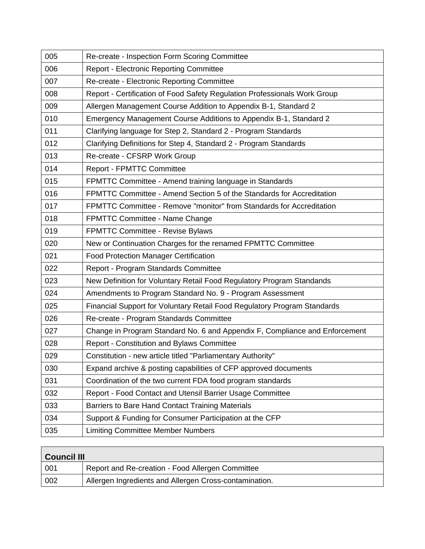| 005 | Re-create - Inspection Form Scoring Committee                               |
|-----|-----------------------------------------------------------------------------|
| 006 | <b>Report - Electronic Reporting Committee</b>                              |
| 007 | Re-create - Electronic Reporting Committee                                  |
| 008 | Report - Certification of Food Safety Regulation Professionals Work Group   |
| 009 | Allergen Management Course Addition to Appendix B-1, Standard 2             |
| 010 | Emergency Management Course Additions to Appendix B-1, Standard 2           |
| 011 | Clarifying language for Step 2, Standard 2 - Program Standards              |
| 012 | Clarifying Definitions for Step 4, Standard 2 - Program Standards           |
| 013 | Re-create - CFSRP Work Group                                                |
| 014 | <b>Report - FPMTTC Committee</b>                                            |
| 015 | FPMTTC Committee - Amend training language in Standards                     |
| 016 | FPMTTC Committee - Amend Section 5 of the Standards for Accreditation       |
| 017 | FPMTTC Committee - Remove "monitor" from Standards for Accreditation        |
| 018 | FPMTTC Committee - Name Change                                              |
| 019 | <b>FPMTTC Committee - Revise Bylaws</b>                                     |
| 020 | New or Continuation Charges for the renamed FPMTTC Committee                |
| 021 | Food Protection Manager Certification                                       |
| 022 | Report - Program Standards Committee                                        |
| 023 | New Definition for Voluntary Retail Food Regulatory Program Standands       |
| 024 | Amendments to Program Standard No. 9 - Program Assessment                   |
| 025 | Financial Support for Voluntary Retail Food Regulatory Program Standards    |
| 026 | Re-create - Program Standards Committee                                     |
| 027 | Change in Program Standard No. 6 and Appendix F, Compliance and Enforcement |
| 028 | Report - Constitution and Bylaws Committee                                  |
| 029 | Constitution - new article titled "Parliamentary Authority"                 |
| 030 | Expand archive & posting capabilities of CFP approved documents             |
| 031 | Coordination of the two current FDA food program standards                  |
| 032 | Report - Food Contact and Utensil Barrier Usage Committee                   |
| 033 | Barriers to Bare Hand Contact Training Materials                            |
| 034 | Support & Funding for Consumer Participation at the CFP                     |
| 035 | <b>Limiting Committee Member Numbers</b>                                    |

| <b>Council III</b> |                                                        |  |
|--------------------|--------------------------------------------------------|--|
| -001               | Report and Re-creation - Food Allergen Committee       |  |
| 002                | Allergen Ingredients and Allergen Cross-contamination. |  |